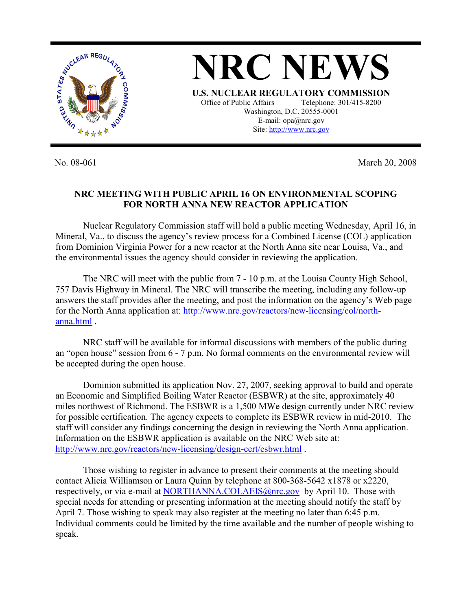

No. 08-061 March 20, 2008

## **NRC MEETING WITH PUBLIC APRIL 16 ON ENVIRONMENTAL SCOPING FOR NORTH ANNA NEW REACTOR APPLICATION**

 Nuclear Regulatory Commission staff will hold a public meeting Wednesday, April 16, in Mineral, Va., to discuss the agency's review process for a Combined License (COL) application from Dominion Virginia Power for a new reactor at the North Anna site near Louisa, Va., and the environmental issues the agency should consider in reviewing the application.

 The NRC will meet with the public from 7 - 10 p.m. at the Louisa County High School, 757 Davis Highway in Mineral. The NRC will transcribe the meeting, including any follow-up answers the staff provides after the meeting, and post the information on the agency's Web page for the North Anna application at: http://www.nrc.gov/reactors/new-licensing/col/northanna.html .

NRC staff will be available for informal discussions with members of the public during an "open house" session from 6 - 7 p.m. No formal comments on the environmental review will be accepted during the open house.

Dominion submitted its application Nov. 27, 2007, seeking approval to build and operate an Economic and Simplified Boiling Water Reactor (ESBWR) at the site, approximately 40 miles northwest of Richmond. The ESBWR is a 1,500 MWe design currently under NRC review for possible certification. The agency expects to complete its ESBWR review in mid-2010. The staff will consider any findings concerning the design in reviewing the North Anna application. Information on the ESBWR application is available on the NRC Web site at: http://www.nrc.gov/reactors/new-licensing/design-cert/esbwr.html .

 Those wishing to register in advance to present their comments at the meeting should contact Alicia Williamson or Laura Quinn by telephone at 800-368-5642 x1878 or x2220, respectively, or via e-mail at NORTHANNA.COLAEIS@nrc.gov by April 10. Those with special needs for attending or presenting information at the meeting should notify the staff by April 7. Those wishing to speak may also register at the meeting no later than 6:45 p.m. Individual comments could be limited by the time available and the number of people wishing to speak.